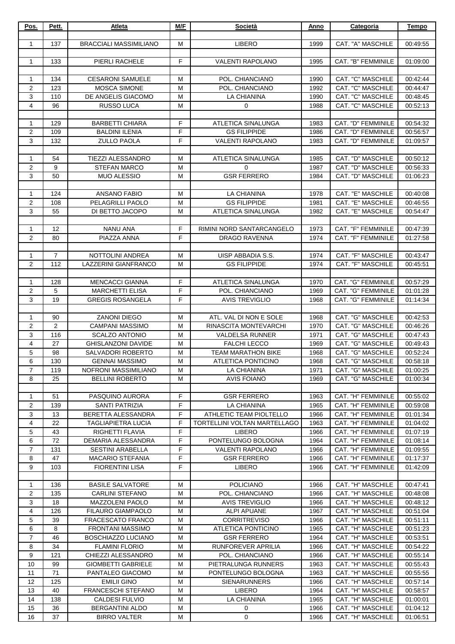| Pos.           | Pett.                 | Atleta                                            | M/F    | Società                                   | Anno         | Categoria                                     | Tempo                |
|----------------|-----------------------|---------------------------------------------------|--------|-------------------------------------------|--------------|-----------------------------------------------|----------------------|
|                |                       |                                                   |        |                                           |              |                                               |                      |
| 1              | 137                   | <b>BRACCIALI MASSIMILIANO</b>                     | M      | <b>LIBERO</b>                             | 1999         | CAT. "A" MASCHILE                             | 00:49:55             |
| $\mathbf{1}$   | 133                   | PIERLI RACHELE                                    | F      | <b>VALENTI RAPOLANO</b>                   | 1995         | CAT. "B" FEMMINILE                            | 01:09:00             |
|                |                       |                                                   |        |                                           |              |                                               |                      |
| $\mathbf{1}$   | 134                   | <b>CESARONI SAMUELE</b>                           | м      | POL. CHIANCIANO                           | 1990         | CAT. "C" MASCHILE                             | 00:42:44             |
| 2              | 123                   | <b>MOSCA SIMONE</b>                               | M      | POL. CHIANCIANO                           | 1992         | <b>CAT. "C" MASCHILE</b>                      | 00:44:47             |
| 3              | 110                   | DE ANGELIS GIACOMO                                | M      | <b>LA CHIANINA</b>                        | 1990         | CAT. "C" MASCHILE                             | 00:48:45             |
| 4              | 96                    | <b>RUSSO LUCA</b>                                 | M      | $\mathbf 0$                               | 1988         | CAT. "C" MASCHILE                             | 00:52:13             |
|                |                       |                                                   |        |                                           |              |                                               |                      |
| 1              | 129                   | <b>BARBETTI CHIARA</b>                            | F      | ATLETICA SINALUNGA                        | 1983         | CAT. "D" FEMMINILE                            | 00:54:32             |
| 2              | 109                   | <b>BALDINI ILENIA</b>                             | F      | <b>GS FILIPPIDE</b>                       | 1986         | CAT. "D" FEMMINILE                            | 00:56:57             |
| 3              | 132                   | <b>ZULLO PAOLA</b>                                | F      | <b>VALENTI RAPOLANO</b>                   | 1983         | CAT. "D" FEMMINILE                            | 01:09:57             |
| 1              | 54                    | <b>TIEZZI ALESSANDRO</b>                          | м      | ATLETICA SINALUNGA                        | 1985         | CAT. "D" MASCHILE                             | 00:50:12             |
| 2              | 9                     | <b>STEFAN MARCO</b>                               | M      | 0                                         | 1987         | CAT. "D" MASCHILE                             | 00:56:33             |
| 3              | 50                    | <b>MUO ALESSIO</b>                                | M      | <b>GSR FERRERO</b>                        | 1984         | CAT. "D" MASCHILE                             | 01:06:23             |
|                |                       |                                                   |        |                                           |              |                                               |                      |
| $\mathbf{1}$   | 124                   | <b>ANSANO FABIO</b>                               | м      | LA CHIANINA                               | 1978         | CAT. "E" MASCHILE                             | 00:40:08             |
| 2              | 108                   | PELAGRILLI PAOLO                                  | M      | <b>GS FILIPPIDE</b>                       | 1981         | CAT. "E" MASCHILE                             | 00:46:55             |
| 3              | 55                    | DI BETTO JACOPO                                   | M      | ATLETICA SINALUNGA                        | 1982         | CAT. "E" MASCHILE                             | 00:54:47             |
|                |                       |                                                   |        |                                           |              |                                               |                      |
| $\mathbf{1}$   | 12                    | <b>NANU ANA</b>                                   | F      | RIMINI NORD SANTARCANGELO                 | 1973         | CAT. "F" FEMMINILE                            | 00:47:39             |
| 2              | 80                    | PIAZZA ANNA                                       | F      | <b>DRAGO RAVENNA</b>                      | 1974         | <b>CAT. "F" FEMMINILE</b>                     | 01:27:58             |
|                |                       |                                                   |        |                                           |              |                                               |                      |
| 1<br>2         | $\overline{7}$<br>112 | NOTTOLINI ANDREA<br>LAZZERINI GIANFRANCO          | м<br>M | UISP ABBADIA S.S.<br><b>GS FILIPPIDE</b>  | 1974<br>1974 | CAT. "F" MASCHILE<br>CAT. "F" MASCHILE        | 00:43:47<br>00:45:51 |
|                |                       |                                                   |        |                                           |              |                                               |                      |
| 1              | 128                   | <b>MENCACCI GIANNA</b>                            | F      | ATLETICA SINALUNGA                        | 1970         | CAT. "G" FEMMINILE                            | 00:57:29             |
| $\overline{2}$ | 5                     | <b>MARCHETTI ELISA</b>                            | F      | POL. CHIANCIANO                           | 1969         | CAT. "G" FEMMINILE                            | 01:01:28             |
| 3              | 19                    | <b>GREGIS ROSANGELA</b>                           | F      | <b>AVIS TREVIGLIO</b>                     | 1968         | CAT. "G" FEMMINILE                            | 01:14:34             |
|                |                       |                                                   |        |                                           |              |                                               |                      |
| 1              | 90                    | ZANONI DIEGO                                      | M      | ATL. VAL DI NON E SOLE                    | 1968         | CAT. "G" MASCHILE                             | 00:42:53             |
| 2              | $\overline{2}$        | <b>CAMPANI MASSIMO</b>                            | M      | RINASCITA MONTEVARCHI                     | 1970         | CAT. "G" MASCHILE                             | 00:46:26             |
| 3              | 116                   | <b>SCALZO ANTONIO</b>                             | M      | <b>VALDELSA RUNNER</b>                    | 1971         | CAT. "G" MASCHILE                             | 00:47:43             |
| 4              | 27                    | <b>GHISLANZONI DAVIDE</b>                         | M      | <b>FALCHI LECCO</b>                       | 1969         | CAT. "G" MASCHILE                             | 00:49:43             |
| 5<br>6         | 98                    | SALVADORI ROBERTO                                 | M      | TEAM MARATHON BIKE                        | 1968         | CAT. "G" MASCHILE                             | 00:52:24             |
| $\overline{7}$ | 130<br>119            | <b>GENNAI MASSIMO</b><br>NOFRONI MASSIMILIANO     | M<br>м | ATLETICA PONTICINO<br>LA CHIANINA         | 1968<br>1971 | CAT. "G" MASCHILE<br><b>CAT. "G" MASCHILE</b> | 00:58:18<br>01:00:25 |
| 8              | 25                    | <b>BELLINI ROBERTO</b>                            | м      | <b>AVIS FOIANO</b>                        | 1969         | CAT. "G" MASCHILE                             | 01:00:34             |
|                |                       |                                                   |        |                                           |              |                                               |                      |
| $\mathbf{1}$   | 51                    | PASQUINO AURORA                                   | F      | <b>GSR FERRERO</b>                        | 1963         | CAT. "H" FEMMINILE                            | 00:55:02             |
| 2              | 139                   | SANTI PATRIZIA                                    | F      | LA CHIANINA                               | 1965         | CAT. "H" FEMMINILE                            | 00:59:08             |
| 3              | 13                    | BERETTA ALESSANDRA                                | F      | ATHLETIC TEAM PIOLTELLO                   | 1966         | CAT. "H" FEMMINILE                            | 01:01:34             |
| 4              | 22                    | <b>TAGLIAPIETRA LUCIA</b>                         | F      | TORTELLINI VOLTAN MARTELLAGO              | 1963         | CAT. "H" FEMMINILE                            | 01:04:02             |
| 5              | 43                    | RIGHETTI FLAVIA                                   | F      | <b>LIBERO</b>                             | 1966         | CAT. "H" FEMMINILE                            | 01:07:19             |
| 6              | 72                    | DEMARIA ALESSANDRA                                | F      | PONTELUNGO BOLOGNA                        | 1964         | CAT. "H" FEMMINILE                            | 01:08:14             |
| $\overline{7}$ | 131                   | <b>SESTINI ARABELLA</b>                           | F      | <b>VALENTI RAPOLANO</b>                   | 1966         | CAT. "H" FEMMINILE                            | 01:09:55             |
| 8<br>9         | 47<br>103             | <b>MACARIO STEFANIA</b><br><b>FIORENTINI LISA</b> | F<br>F | <b>GSR FERRERO</b><br><b>LIBERO</b>       | 1966         | CAT. "H" FEMMINILE<br>CAT. "H" FEMMINILE      | 01:17:37             |
|                |                       |                                                   |        |                                           | 1966         |                                               | 01:42:09             |
| 1              | 136                   | <b>BASILE SALVATORE</b>                           | м      | <b>POLICIANO</b>                          | 1966         | CAT. "H" MASCHILE                             | 00:47:41             |
| 2              | 135                   | <b>CARLINI STEFANO</b>                            | М      | POL. CHIANCIANO                           | 1966         | CAT. "H" MASCHILE                             | 00:48:08             |
| 3              | 18                    | <b>MAZZOLENI PAOLO</b>                            | M      | <b>AVIS TREVIGLIO</b>                     | 1966         | CAT. "H" MASCHILE                             | 00:48:12             |
| 4              | 126                   | <b>FILAURO GIAMPAOLO</b>                          | M      | <b>ALPI APUANE</b>                        | 1967         | CAT. "H" MASCHILE                             | 00:51:04             |
| 5              | 39                    | <b>FRACESCATO FRANCO</b>                          | м      | <b>CORRITREVISO</b>                       | 1966         | CAT. "H" MASCHILE                             | 00:51:11             |
| 6              | 8                     | <b>FRONTANI MASSIMO</b>                           | м      | ATLETICA PONTICINO                        | 1965         | CAT. "H" MASCHILE                             | 00:51:23             |
| $\overline{7}$ | 46                    | <b>BOSCHIAZZO LUCIANO</b>                         | M      | <b>GSR FERRERO</b>                        | 1964         | CAT. "H" MASCHILE                             | 00:53:51             |
| 8              | 34                    | <b>FLAMINI FLORIO</b>                             | м      | RUNFOREVER APRILIA                        | 1966         | CAT. "H" MASCHILE                             | 00:54:22             |
| 9              | 121                   | CHIEZZI ALESSANDRO                                | м      | POL. CHIANCIANO                           | 1966         | CAT. "H" MASCHILE                             | 00:55:14             |
| 10             | 99                    | <b>GIOMBETTI GABRIELE</b>                         | M      | PIETRALUNGA RUNNERS                       | 1963         | CAT. "H" MASCHILE                             | 00:55:43             |
| 11<br>12       | 71<br>125             | PANTALEO GIACOMO<br><b>EMILII GINO</b>            | м<br>м | PONTELUNGO BOLOGNA<br><b>SIENARUNNERS</b> | 1963<br>1966 | CAT. "H" MASCHILE<br>CAT. "H" MASCHILE        | 00:55:55<br>00:57:14 |
| 13             | 40                    | FRANCESCHI STEFANO                                | м      | <b>LIBERO</b>                             | 1964         | CAT. "H" MASCHILE                             | 00:58:57             |
| 14             | 138                   | <b>CALDESI FULVIO</b>                             | м      | LA CHIANINA                               | 1965         | CAT. "H" MASCHILE                             | 01:00:01             |
| 15             | 36                    | <b>BERGANTINI ALDO</b>                            | м      | 0                                         | 1966         | CAT. "H" MASCHILE                             | 01:04:12             |
| 16             | 37                    | <b>BIRRO VALTER</b>                               | M      | 0                                         | 1966         | CAT. "H" MASCHILE                             | 01:06:51             |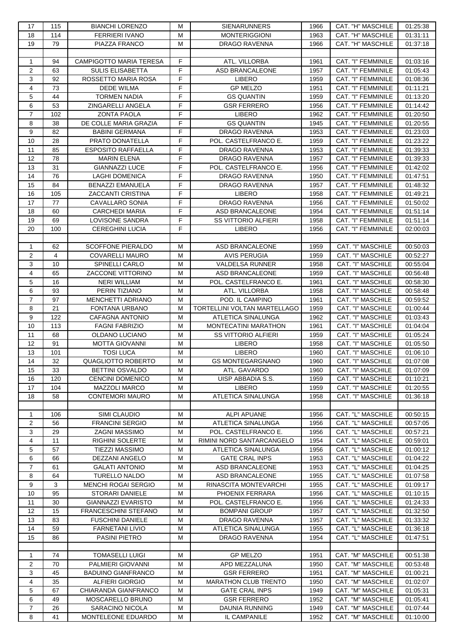| 17               | 115 | <b>BIANCHI LORENZO</b>         | м      | <b>SIENARUNNERS</b>          | 1966 | CAT. "H" MASCHILE        | 01:25:38 |
|------------------|-----|--------------------------------|--------|------------------------------|------|--------------------------|----------|
| 18               | 114 | <b>FERRIERI IVANO</b>          | M      | <b>MONTERIGGIONI</b>         | 1963 | CAT. "H" MASCHILE        | 01:31:11 |
| 19               | 79  | PIAZZA FRANCO                  | M      | <b>DRAGO RAVENNA</b>         | 1966 | CAT. "H" MASCHILE        | 01:37:18 |
|                  |     |                                |        |                              |      |                          |          |
| $\mathbf{1}$     | 94  | <b>CAMPIGOTTO MARIA TERESA</b> | F      | ATL. VILLORBA                | 1961 | CAT. "I" FEMMINILE       | 01:03:16 |
| 2                | 63  | <b>SULIS ELISABETTA</b>        | F      | <b>ASD BRANCALEONE</b>       | 1957 | CAT. "I" FEMMINILE       | 01:05:43 |
| 3                | 92  | ROSSETTO MARIA ROSA            | F      | <b>LIBERO</b>                | 1959 | CAT. "I" FEMMINILE       | 01:08:36 |
| 4                | 73  | <b>DEDE WILMA</b>              | F      | <b>GP MELZO</b>              | 1951 | CAT. "I" FEMMINILE       | 01:11:21 |
| 5                | 44  | <b>TORMEN NADIA</b>            | F      | <b>GS QUANTIN</b>            | 1959 | CAT. "I" FEMMINILE       | 01:13:20 |
| 6                | 53  | ZINGARELLI ANGELA              | F      | <b>GSR FERRERO</b>           | 1956 | CAT. "I" FEMMINILE       | 01:14:42 |
| $\overline{7}$   | 102 | <b>ZONTA PAOLA</b>             | F      | <b>LIBERO</b>                | 1962 | CAT. "I" FEMMINILE       | 01:20:50 |
| 8                | 38  | DE COLLE MARIA GRAZIA          | F      | <b>GS QUANTIN</b>            | 1945 | CAT. "I" FEMMINILE       | 01:20:55 |
| $\boldsymbol{9}$ | 82  | <b>BABINI GERMANA</b>          | F      | DRAGO RAVENNA                | 1953 | CAT. "I" FEMMINILE       | 01:23:03 |
| 10               | 28  | PRATO DONATELLA                | F      | POL. CASTELFRANCO E.         | 1959 | CAT. "I" FEMMINILE       | 01:23:22 |
| 11               | 85  | <b>ESPOSITO RAFFAELLA</b>      | F      | <b>DRAGO RAVENNA</b>         | 1953 | CAT. "I" FEMMINILE       | 01:39:33 |
| 12               | 78  | <b>MARIN ELENA</b>             | F      | DRAGO RAVENNA                | 1957 | CAT. "I" FEMMINILE       | 01:39:33 |
| 13               | 31  | <b>GIANNAZZI LUCE</b>          | F      | POL. CASTELFRANCO E.         | 1956 | CAT. "I" FEMMINILE       | 01:42:02 |
| 14               | 76  | LAGHI DOMENICA                 | F      | <b>DRAGO RAVENNA</b>         | 1950 | CAT. "I" FEMMINILE       | 01:47:51 |
| 15               | 84  | <b>BENAZZI EMANUELA</b>        | F      | DRAGO RAVENNA                | 1957 | CAT. "I" FEMMINILE       | 01:48:32 |
| 16               | 105 | ZACCANTI CRISTINA              | F      | <b>LIBERO</b>                | 1958 | CAT. "I" FEMMINILE       | 01:49:21 |
| 17               | 77  | <b>CAVALLARO SONIA</b>         | F      | DRAGO RAVENNA                | 1956 | CAT. "I" FEMMINILE       | 01:50:02 |
| 18               | 60  | <b>CARCHEDI MARIA</b>          | F      | ASD BRANCALEONE              | 1954 | CAT. "I" FEMMINILE       | 01:51:14 |
| 19               | 69  | LOVISONE SANDRA                | F      | <b>SS VITTORIO ALFIERI</b>   | 1958 | CAT. "I" FEMMINILE       | 01:51:14 |
| 20               | 100 | <b>CEREGHINI LUCIA</b>         | F      | <b>LIBERO</b>                | 1956 | CAT. "I" FEMMINILE       |          |
|                  |     |                                |        |                              |      |                          | 02:00:03 |
|                  | 62  |                                |        |                              |      |                          |          |
| $\mathbf{1}$     |     | <b>SCOFFONE PIERALDO</b>       | М      | ASD BRANCALEONE              | 1959 | CAT. "I" MASCHILE        | 00:50:03 |
| 2                | 4   | <b>COVARELLI MAURO</b>         | M<br>M | <b>AVIS PERUGIA</b>          | 1959 | CAT. "I" MASCHILE        | 00:52:27 |
| 3                | 10  | SPINELLI CARLO                 |        | <b>VALDELSA RUNNER</b>       | 1958 | CAT. "I" MASCHILE        | 00:55:04 |
| 4                | 65  | <b>ZACCONE VITTORINO</b>       | M      | ASD BRANCALEONE              | 1959 | CAT. "I" MASCHILE        | 00:56:48 |
| $\mathbf 5$      | 16  | <b>NERI WILLIAM</b>            | м      | POL. CASTELFRANCO E.         | 1961 | CAT. "I" MASCHILE        | 00:58:30 |
| 6                | 93  | PERIN TIZIANO                  | M      | ATL. VILLORBA                | 1958 | CAT. "I" MASCHILE        | 00:58:48 |
| $\overline{7}$   | 97  | MENCHETTI ADRIANO              | м      | POD. IL CAMPINO              | 1961 | CAT. "I" MASCHILE        | 00:59:52 |
| 8                | 21  | FONTANA URBANO                 | M      | TORTELLINI VOLTAN MARTELLAGO | 1959 | CAT. "I" MASCHILE        | 01:00:44 |
| 9                | 122 | CAFAGNA ANTONIO                | M      | ATLETICA SINALUNGA           | 1962 | CAT. "I" MASCHILE        | 01:03:43 |
| 10               | 113 | <b>FAGNI FABRIZIO</b>          | М      | <b>MONTECATINI MARATHON</b>  | 1961 | CAT. "I" MASCHILE        | 01:04:04 |
| 11               | 68  | OLDANO LUCIANO                 | м      | <b>SS VITTORIO ALFIERI</b>   | 1959 | CAT. "I" MASCHILE        | 01:05:24 |
| 12               | 91  | <b>MOTTA GIOVANNI</b>          | м      | <b>LIBERO</b>                | 1958 | <b>CAT. "I" MASCHILE</b> | 01:05:50 |
| 13               | 101 | <b>TOSI LUCA</b>               | M      | <b>LIBERO</b>                | 1960 | CAT. "I" MASCHILE        | 01:06:10 |
| 14               | 32  | QUAGLIOTTO ROBERTO             | м      | <b>GS MONTEGARGNANO</b>      | 1960 | <b>CAT. "I" MASCHILE</b> | 01:07:08 |
| 15               | 33  | <b>BETTINI OSVALDO</b>         | м      | ATL. GAVARDO                 | 1960 | CAT. "I" MASCHILE        | 01:07:09 |
| 16               | 120 | <b>CENCINI DOMENICO</b>        | M      | UISP ABBADIA S.S.            | 1959 | CAT. "I" MASCHILE        | 01:10:21 |
| 17               | 104 | MAZZOLI MARCO                  | м      | <b>LIBERO</b>                | 1959 | CAT. "I" MASCHILE        | 01:20:55 |
| 18               | 58  | <b>CONTEMORI MAURO</b>         | М      | <b>ATLETICA SINALUNGA</b>    | 1958 | CAT. "I" MASCHILE        | 01:36:18 |
|                  |     |                                |        |                              |      |                          |          |
| $\mathbf{1}$     | 106 | SIMI CLAUDIO                   | M      | <b>ALPI APUANE</b>           | 1956 | CAT. "L" MASCHILE        | 00:50:15 |
| $\overline{2}$   | 56  | <b>FRANCINI SERGIO</b>         | М      | ATLETICA SINALUNGA           | 1956 | CAT. "L" MASCHILE        | 00:57:05 |
| 3                | 29  | ZAGNI MASSIMO                  | M      | POL. CASTELFRANCO E.         | 1956 | CAT. "L" MASCHILE        | 00:57:21 |
| 4                | 11  | <b>RIGHINI SOLERTE</b>         | М      | RIMINI NORD SANTARCANGELO    | 1954 | CAT. "L" MASCHILE        | 00:59:01 |
| 5                | 57  | <b>TIEZZI MASSIMO</b>          | м      | ATLETICA SINALUNGA           | 1956 | CAT. "L" MASCHILE        | 01:00:12 |
| 6                | 66  | <b>DEZZANI ANGELO</b>          | м      | <b>GATE CRAL INPS</b>        | 1953 | CAT. "L" MASCHILE        | 01:04:22 |
| $\overline{7}$   | 61  | <b>GALATI ANTONIO</b>          | М      | ASD BRANCALEONE              | 1953 | CAT. "L" MASCHILE        | 01:04:25 |
| 8                | 64  | <b>TURELLO NALDO</b>           | М      | ASD BRANCALEONE              | 1955 | CAT. "L" MASCHILE        | 01:07:58 |
| 9                | 3   | <b>MENCHI ROGAI SERGIO</b>     | M      | RINASCITA MONTEVARCHI        | 1955 | CAT. "L" MASCHILE        | 01:09:17 |
| 10               | 95  | <b>STORARI DANIELE</b>         | М      | PHOENIX FERRARA              | 1956 | CAT. "L" MASCHILE        | 01:10:15 |
| 11               | 30  | <b>GIANNAZZI EVARISTO</b>      | М      | POL. CASTELFRANCO E.         | 1956 | CAT. "L" MASCHILE        | 01:24:33 |
| 12               | 15  | <b>FRANCESCHINI STEFANO</b>    | М      | <b>BOMPANI GROUP</b>         | 1957 | CAT. "L" MASCHILE        | 01:32:50 |
| 13               | 83  | <b>FUSCHINI DANIELE</b>        | М      | DRAGO RAVENNA                | 1957 | CAT. "L" MASCHILE        | 01:33:32 |
| 14               | 59  | <b>FARNETANI LIVIO</b>         | M      | ATLETICA SINALUNGA           | 1955 | CAT. "L" MASCHILE        | 01:36:18 |
| 15               | 86  | PASINI PIETRO                  | M      | DRAGO RAVENNA                | 1954 | CAT. "L" MASCHILE        | 01:47:51 |
|                  |     |                                |        |                              |      |                          |          |
| $\mathbf{1}$     | 74  | <b>TOMASELLI LUIGI</b>         | м      | <b>GP MELZO</b>              | 1951 | CAT. "M" MASCHILE        | 00:51:38 |
| $\overline{2}$   | 70  | PALMIERI GIOVANNI              | м      | APD MEZZALUNA                | 1950 | CAT. "M" MASCHILE        | 00:53:48 |
| 3                | 45  | <b>BADUINO GIANFRANCO</b>      | м      | <b>GSR FERRERO</b>           | 1951 | CAT. "M" MASCHILE        | 01:00:21 |
| 4                | 35  | <b>ALFIERI GIORGIO</b>         | м      | <b>MARATHON CLUB TRENTO</b>  | 1950 | CAT. "M" MASCHILE        | 01:02:07 |
| 5                | 67  | CHIARANDA GIANFRANCO           | M      | <b>GATE CRAL INPS</b>        | 1949 | CAT. "M" MASCHILE        | 01:05:31 |
| 6                | 49  | MOSCARELLO BRUNO               | M      | <b>GSR FERRERO</b>           | 1952 | CAT. "M" MASCHILE        | 01:05:41 |
| $\overline{7}$   | 26  | SARACINO NICOLA                | М      | <b>DAUNIA RUNNING</b>        | 1949 | CAT. "M" MASCHILE        | 01:07:44 |
| 8                | 41  | MONTELEONE EDUARDO             | м      | IL CAMPANILE                 | 1952 | CAT. "M" MASCHILE        | 01:10:00 |